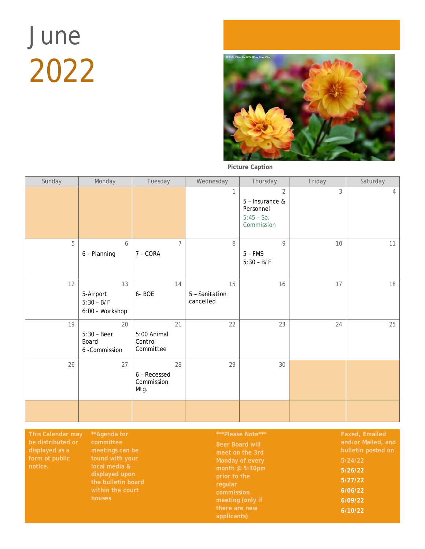## June 2022



**Picture Caption**

| Sunday | Monday                                             | Tuesday                             |                | Wednesday                       | Thursday                                                                     | Friday         | Saturday |
|--------|----------------------------------------------------|-------------------------------------|----------------|---------------------------------|------------------------------------------------------------------------------|----------------|----------|
|        |                                                    |                                     |                |                                 | $\overline{2}$<br>5 - Insurance &<br>Personnel<br>$5:45 - Sp.$<br>Commission | $\mathfrak{Z}$ | 4        |
| 5      | 6<br>6 - Planning                                  | 7 - CORA                            | $\overline{7}$ | 8                               | $\mathsf{Q}$<br>$5 - FMS$<br>$5:30 - B/F$                                    | 10             | 11       |
| 12     | 13<br>5-Airport<br>$5:30 - B/F$<br>6:00 - Workshop | 6-BOE                               | 14             | 15<br>5 Sanitation<br>cancelled | 16                                                                           | 17             | 18       |
| 19     | 20<br>$5:30 - Beer$<br>Board<br>6 - Commission     | 5:00 Animal<br>Control<br>Committee | 21             | 22                              | 23                                                                           | 24             | 25       |
| 26     | 27                                                 | 6 - Recessed<br>Commission<br>Mtg.  | 28             | 29                              | 30                                                                           |                |          |
|        |                                                    |                                     |                |                                 |                                                                              |                |          |

**month @ 5:30pm** 

**5/26/22 5/27/22 6/06/22 6/09/22 6/10/22**